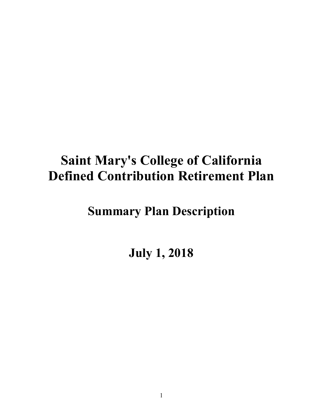## **Saint Mary's College of California Defined Contribution Retirement Plan**

## **Summary Plan Description**

**July 1, 2018**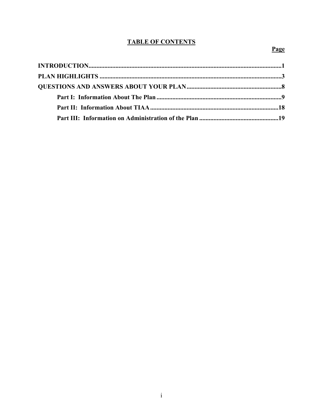#### **TABLE OF CONTENTS**

### Page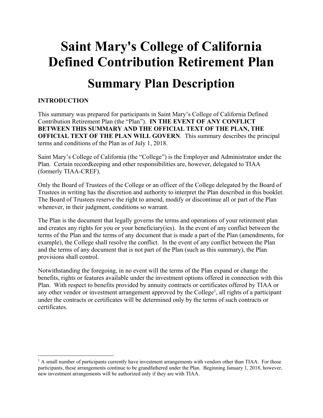# **Saint Mary's College of California Defined Contribution Retirement Plan Summary Plan Description**

#### **INTRODUCTION**

 $\overline{a}$ 

This summary was prepared for participants in Saint Mary's College of California Defined Contribution Retirement Plan (the "Plan"). **IN THE EVENT OF ANY CONFLICT BETWEEN THIS SUMMARY AND THE OFFICIAL TEXT OF THE PLAN, THE OFFICIAL TEXT OF THE PLAN WILL GOVERN**. This summary describes the principal terms and conditions of the Plan as of July 1, 2018.

Saint Mary's College of California (the "College") is the Employer and Administrator under the Plan. Certain recordkeeping and other responsibilities are, however, delegated to TIAA (formerly TIAA-CREF).

Only the Board of Trustees of the College or an officer of the College delegated by the Board of Trustees in writing has the discretion and authority to interpret the Plan described in this booklet. The Board of Trustees reserve the right to amend, modify or discontinue all or part of the Plan whenever, in their judgment, conditions so warrant.

The Plan is the document that legally governs the terms and operations of your retirement plan and creates any rights for you or your beneficiary(ies). In the event of any conflict between the terms of the Plan and the terms of any document that is made a part of the Plan (amendments, for example), the College shall resolve the conflict. In the event of any conflict between the Plan and the terms of any document that is not part of the Plan (such as this summary), the Plan provisions shall control.

Notwithstanding the foregoing, in no event will the terms of the Plan expand or change the benefits, rights or features available under the investment options offered in connection with this Plan. With respect to benefits provided by annuity contracts or certificates offered by TIAA or any other vendor or investment arrangement approved by the College<sup>1</sup>, all rights of a participant under the contracts or certificates will be determined only by the terms of such contracts or certificates.

 $<sup>1</sup>$  A small number of participants currently have investment arrangements with vendors other than TIAA. For those</sup> participants, these arrangements continue to be grandfathered under the Plan. Beginning January 1, 2018, however, new investment arrangements will be authorized only if they are with TIAA.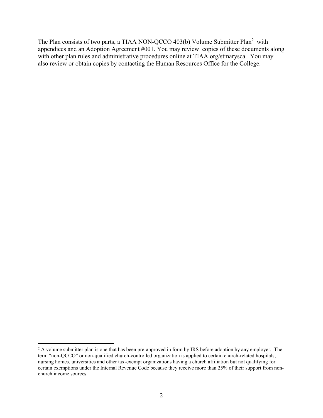The Plan consists of two parts, a TIAA NON-QCCO 403(b) Volume Submitter Plan<sup>2</sup> with appendices and an Adoption Agreement #001. You may review copies of these documents along with other plan rules and administrative procedures online at TIAA.org/stmarysca. You may also review or obtain copies by contacting the Human Resources Office for the College.

<sup>&</sup>lt;sup>2</sup> A volume submitter plan is one that has been pre-approved in form by IRS before adoption by any employer. The term "non-QCCO" or non-qualified church-controlled organization is applied to certain church-related hospitals, nursing homes, universities and other tax-exempt organizations having a church affiliation but not qualifying for certain exemptions under the Internal Revenue Code because they receive more than 25% of their support from nonchurch income sources.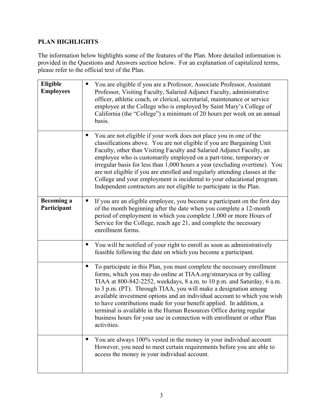#### **PLAN HIGHLIGHTS**

The information below highlights some of the features of the Plan. More detailed information is provided in the Questions and Answers section below. For an explanation of capitalized terms, please refer to the official text of the Plan.

| Eligible<br><b>Employees</b>     | You are eligible if you are a Professor, Associate Professor, Assistant<br>п<br>Professor, Visiting Faculty, Salaried Adjunct Faculty, administrative<br>officer, athletic coach, or clerical, secretarial, maintenance or service<br>employee at the College who is employed by Saint Mary's College of<br>California (the "College") a minimum of 20 hours per week on an annual<br>basis.                                                                                                                                                                                                                  |
|----------------------------------|---------------------------------------------------------------------------------------------------------------------------------------------------------------------------------------------------------------------------------------------------------------------------------------------------------------------------------------------------------------------------------------------------------------------------------------------------------------------------------------------------------------------------------------------------------------------------------------------------------------|
|                                  | You are not eligible if your work does not place you in one of the<br>classifications above. You are not eligible if you are Bargaining Unit<br>Faculty, other than Visiting Faculty and Salaried Adjunct Faculty, an<br>employee who is customarily employed on a part-time, temporary or<br>irregular basis for less than 1,000 hours a year (excluding overtime). You<br>are not eligible if you are enrolled and regularly attending classes at the<br>College and your employment is incidental to your educational program.<br>Independent contractors are not eligible to participate in the Plan.     |
| <b>Becoming a</b><br>Participant | If you are an eligible employee, you become a participant on the first day<br>of the month beginning after the date when you complete a 12-month<br>period of employment in which you complete 1,000 or more Hours of<br>Service for the College, reach age 21, and complete the necessary<br>enrollment forms.                                                                                                                                                                                                                                                                                               |
|                                  | You will be notified of your right to enroll as soon as administratively<br>щ<br>feasible following the date on which you become a participant.                                                                                                                                                                                                                                                                                                                                                                                                                                                               |
|                                  | To participate in this Plan, you must complete the necessary enrollment<br>forms, which you may do online at TIAA.org/stmarysca or by calling<br>TIAA at 800-842-2252, weekdays, 8 a.m. to 10 p.m. and Saturday, 6 a.m.<br>to 3 p.m. (PT). Through TIAA, you will make a designation among<br>available investment options and an individual account to which you wish<br>to have contributions made for your benefit applied. In addition, a<br>terminal is available in the Human Resources Office during regular<br>business hours for your use in connection with enrollment or other Plan<br>activities. |
|                                  | You are always 100% vested in the money in your individual account.<br>However, you need to meet certain requirements before you are able to<br>access the money in your individual account.                                                                                                                                                                                                                                                                                                                                                                                                                  |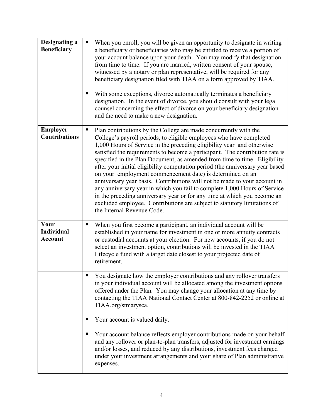| <b>Designating a</b><br><b>Beneficiary</b>  | When you enroll, you will be given an opportunity to designate in writing<br>$\blacksquare$<br>a beneficiary or beneficiaries who may be entitled to receive a portion of<br>your account balance upon your death. You may modify that designation<br>from time to time. If you are married, written consent of your spouse,<br>witnessed by a notary or plan representative, will be required for any<br>beneficiary designation filed with TIAA on a form approved by TIAA.                                                                                                                                                                                                                                                                                                                                                                                                     |
|---------------------------------------------|-----------------------------------------------------------------------------------------------------------------------------------------------------------------------------------------------------------------------------------------------------------------------------------------------------------------------------------------------------------------------------------------------------------------------------------------------------------------------------------------------------------------------------------------------------------------------------------------------------------------------------------------------------------------------------------------------------------------------------------------------------------------------------------------------------------------------------------------------------------------------------------|
|                                             | With some exceptions, divorce automatically terminates a beneficiary<br>designation. In the event of divorce, you should consult with your legal<br>counsel concerning the effect of divorce on your beneficiary designation<br>and the need to make a new designation.                                                                                                                                                                                                                                                                                                                                                                                                                                                                                                                                                                                                           |
| <b>Employer</b><br><b>Contributions</b>     | Plan contributions by the College are made concurrently with the<br>п<br>College's payroll periods, to eligible employees who have completed<br>1,000 Hours of Service in the preceding eligibility year and otherwise<br>satisfied the requirements to become a participant. The contribution rate is<br>specified in the Plan Document, as amended from time to time. Eligibility<br>after your initial eligibility computation period (the anniversary year based<br>on your employment commencement date) is determined on an<br>anniversary year basis. Contributions will not be made to your account in<br>any anniversary year in which you fail to complete 1,000 Hours of Service<br>in the preceding anniversary year or for any time at which you become an<br>excluded employee. Contributions are subject to statutory limitations of<br>the Internal Revenue Code. |
| Your<br><b>Individual</b><br><b>Account</b> | When you first become a participant, an individual account will be<br>established in your name for investment in one or more annuity contracts<br>or custodial accounts at your election. For new accounts, if you do not<br>select an investment option, contributions will be invested in the TIAA<br>Lifecycle fund with a target date closest to your projected date of<br>retirement.                                                                                                                                                                                                                                                                                                                                                                                                                                                                                        |
|                                             | You designate how the employer contributions and any rollover transfers<br>in your individual account will be allocated among the investment options<br>offered under the Plan. You may change your allocation at any time by<br>contacting the TIAA National Contact Center at 800-842-2252 or online at<br>TIAA.org/stmarysca.                                                                                                                                                                                                                                                                                                                                                                                                                                                                                                                                                  |
|                                             | Your account is valued daily.<br>п                                                                                                                                                                                                                                                                                                                                                                                                                                                                                                                                                                                                                                                                                                                                                                                                                                                |
|                                             | Your account balance reflects employer contributions made on your behalf<br>ш<br>and any rollover or plan-to-plan transfers, adjusted for investment earnings<br>and/or losses, and reduced by any distributions, investment fees charged<br>under your investment arrangements and your share of Plan administrative<br>expenses.                                                                                                                                                                                                                                                                                                                                                                                                                                                                                                                                                |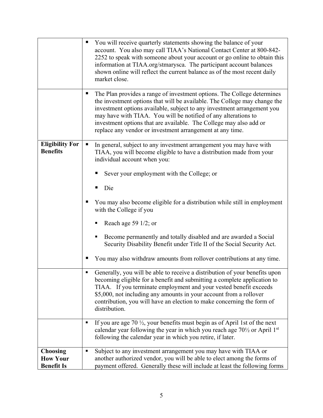|                                                         | You will receive quarterly statements showing the balance of your<br>account. You also may call TIAA's National Contact Center at 800-842-<br>2252 to speak with someone about your account or go online to obtain this<br>information at TIAA.org/stmarysca. The participant account balances<br>shown online will reflect the current balance as of the most recent daily<br>market close.                                                                                                                                                                                                          |
|---------------------------------------------------------|-------------------------------------------------------------------------------------------------------------------------------------------------------------------------------------------------------------------------------------------------------------------------------------------------------------------------------------------------------------------------------------------------------------------------------------------------------------------------------------------------------------------------------------------------------------------------------------------------------|
|                                                         | The Plan provides a range of investment options. The College determines<br>the investment options that will be available. The College may change the<br>investment options available, subject to any investment arrangement you<br>may have with TIAA. You will be notified of any alterations to<br>investment options that are available. The College may also add or<br>replace any vendor or investment arrangement at any time.                                                                                                                                                                  |
| <b>Eligibility For</b><br><b>Benefits</b>               | In general, subject to any investment arrangement you may have with<br>п<br>TIAA, you will become eligible to have a distribution made from your<br>individual account when you:<br>Sever your employment with the College; or<br>Die<br>You may also become eligible for a distribution while still in employment<br>with the College if you<br>Reach age 59 $1/2$ ; or<br>п<br>Become permanently and totally disabled and are awarded a Social<br>Security Disability Benefit under Title II of the Social Security Act.<br>You may also withdraw amounts from rollover contributions at any time. |
|                                                         | Generally, you will be able to receive a distribution of your benefits upon<br>becoming eligible for a benefit and submitting a complete application to<br>TIAA. If you terminate employment and your vested benefit exceeds<br>\$5,000, not including any amounts in your account from a rollover<br>contribution, you will have an election to make concerning the form of<br>distribution.                                                                                                                                                                                                         |
|                                                         | If you are age 70 $\frac{1}{2}$ , your benefits must begin as of April 1st of the next<br>п<br>calendar year following the year in which you reach age 701/2 or April 1st<br>following the calendar year in which you retire, if later.                                                                                                                                                                                                                                                                                                                                                               |
| <b>Choosing</b><br><b>How Your</b><br><b>Benefit Is</b> | Subject to any investment arrangement you may have with TIAA or<br>п<br>another authorized vendor, you will be able to elect among the forms of<br>payment offered. Generally these will include at least the following forms                                                                                                                                                                                                                                                                                                                                                                         |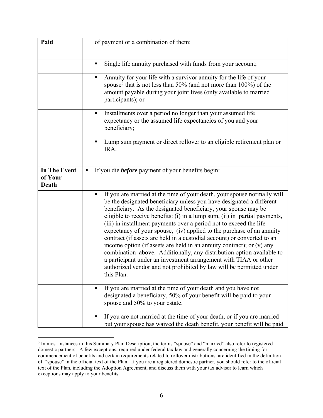| Paid                                    | of payment or a combination of them:                                                                                                                                                                                                                                                                                                                                                                                                                                                                                                                                                                                                                                                                                                                                                                                                        |  |
|-----------------------------------------|---------------------------------------------------------------------------------------------------------------------------------------------------------------------------------------------------------------------------------------------------------------------------------------------------------------------------------------------------------------------------------------------------------------------------------------------------------------------------------------------------------------------------------------------------------------------------------------------------------------------------------------------------------------------------------------------------------------------------------------------------------------------------------------------------------------------------------------------|--|
|                                         | Single life annuity purchased with funds from your account;<br>П                                                                                                                                                                                                                                                                                                                                                                                                                                                                                                                                                                                                                                                                                                                                                                            |  |
|                                         | Annuity for your life with a survivor annuity for the life of your<br>٠<br>spouse <sup>3</sup> that is not less than 50% (and not more than $100\%$ ) of the<br>amount payable during your joint lives (only available to married<br>participants); or                                                                                                                                                                                                                                                                                                                                                                                                                                                                                                                                                                                      |  |
|                                         | Installments over a period no longer than your assumed life<br>п<br>expectancy or the assumed life expectancies of you and your<br>beneficiary;                                                                                                                                                                                                                                                                                                                                                                                                                                                                                                                                                                                                                                                                                             |  |
|                                         | Lump sum payment or direct rollover to an eligible retirement plan or<br>IRA.                                                                                                                                                                                                                                                                                                                                                                                                                                                                                                                                                                                                                                                                                                                                                               |  |
| <b>In The Event</b><br>of Your<br>Death | If you die <b>before</b> payment of your benefits begin:<br>п                                                                                                                                                                                                                                                                                                                                                                                                                                                                                                                                                                                                                                                                                                                                                                               |  |
|                                         | If you are married at the time of your death, your spouse normally will<br>п<br>be the designated beneficiary unless you have designated a different<br>beneficiary. As the designated beneficiary, your spouse may be<br>eligible to receive benefits: (i) in a lump sum, (ii) in partial payments,<br>(iii) in installment payments over a period not to exceed the life<br>expectancy of your spouse, (iv) applied to the purchase of an annuity<br>contract (if assets are held in a custodial account) or converted to an<br>income option (if assets are held in an annuity contract); or $(v)$ any<br>combination above. Additionally, any distribution option available to<br>a participant under an investment arrangement with TIAA or other<br>authorized vendor and not prohibited by law will be permitted under<br>this Plan. |  |
|                                         | If you are married at the time of your death and you have not<br>designated a beneficiary, 50% of your benefit will be paid to your<br>spouse and 50% to your estate.                                                                                                                                                                                                                                                                                                                                                                                                                                                                                                                                                                                                                                                                       |  |
|                                         | If you are not married at the time of your death, or if you are married<br>п<br>but your spouse has waived the death benefit, your benefit will be paid                                                                                                                                                                                                                                                                                                                                                                                                                                                                                                                                                                                                                                                                                     |  |

 $\overline{a}$ <sup>3</sup> In most instances in this Summary Plan Description, the terms "spouse" and "married" also refer to registered domestic partners. A few exceptions, required under federal tax law and generally concerning the timing for commencement of benefits and certain requirements related to rollover distributions, are identified in the definition of "spouse" in the official text of the Plan. If you are a registered domestic partner, you should refer to the official text of the Plan, including the Adoption Agreement, and discuss them with your tax advisor to learn which exceptions may apply to your benefits.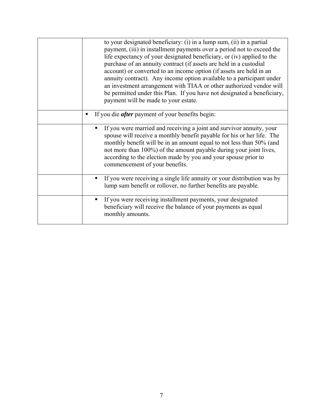| to your designated beneficiary: (i) in a lump sum, (ii) in a partial<br>payment, (iii) in installment payments over a period not to exceed the<br>life expectancy of your designated beneficiary, or (iv) applied to the<br>purchase of an annuity contract (if assets are held in a custodial<br>account) or converted to an income option (if assets are held in an<br>annuity contract). Any income option available to a participant under<br>an investment arrangement with TIAA or other authorized vendor will<br>be permitted under this Plan. If you have not designated a beneficiary,<br>payment will be made to your estate. |
|------------------------------------------------------------------------------------------------------------------------------------------------------------------------------------------------------------------------------------------------------------------------------------------------------------------------------------------------------------------------------------------------------------------------------------------------------------------------------------------------------------------------------------------------------------------------------------------------------------------------------------------|
| If you die <i>after</i> payment of your benefits begin:<br>п                                                                                                                                                                                                                                                                                                                                                                                                                                                                                                                                                                             |
| If you were married and receiving a joint and survivor annuity, your<br>$\blacksquare$<br>spouse will receive a monthly benefit payable for his or her life. The<br>monthly benefit will be in an amount equal to not less than 50% (and<br>not more than 100%) of the amount payable during your joint lives,<br>according to the election made by you and your spouse prior to<br>commencement of your benefits.                                                                                                                                                                                                                       |
| If you were receiving a single life annuity or your distribution was by<br>٠<br>lump sum benefit or rollover, no further benefits are payable.                                                                                                                                                                                                                                                                                                                                                                                                                                                                                           |
| If you were receiving installment payments, your designated<br>п<br>beneficiary will receive the balance of your payments as equal<br>monthly amounts.                                                                                                                                                                                                                                                                                                                                                                                                                                                                                   |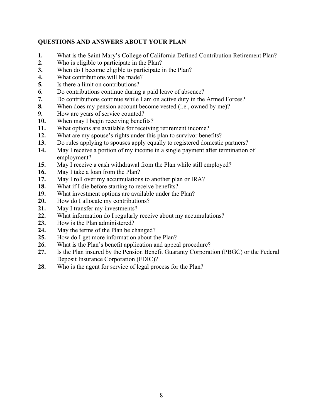#### **QUESTIONS AND ANSWERS ABOUT YOUR PLAN**

- **1.** What is the Saint Mary's College of California Defined Contribution Retirement Plan?
- **2.** Who is eligible to participate in the Plan?
- **3.** When do I become eligible to participate in the Plan?
- **4.** What contributions will be made?
- **5.** Is there a limit on contributions?
- **6.** Do contributions continue during a paid leave of absence?
- **7.** Do contributions continue while I am on active duty in the Armed Forces?
- **8.** When does my pension account become vested (i.e., owned by me)?
- **9.** How are years of service counted?
- **10.** When may I begin receiving benefits?
- **11.** What options are available for receiving retirement income?
- **12.** What are my spouse's rights under this plan to survivor benefits?
- **13.** Do rules applying to spouses apply equally to registered domestic partners?
- **14.** May I receive a portion of my income in a single payment after termination of employment?
- **15.** May I receive a cash withdrawal from the Plan while still employed?
- **16.** May I take a loan from the Plan?
- **17.** May I roll over my accumulations to another plan or IRA?
- **18.** What if I die before starting to receive benefits?
- **19.** What investment options are available under the Plan?
- **20.** How do I allocate my contributions?
- **21.** May I transfer my investments?
- **22.** What information do I regularly receive about my accumulations?
- **23.** How is the Plan administered?
- **24.** May the terms of the Plan be changed?
- **25.** How do I get more information about the Plan?
- **26.** What is the Plan's benefit application and appeal procedure?
- **27.** Is the Plan insured by the Pension Benefit Guaranty Corporation (PBGC) or the Federal Deposit Insurance Corporation (FDIC)?
- **28.** Who is the agent for service of legal process for the Plan?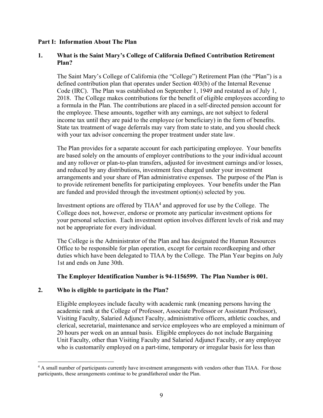#### **Part I: Information About The Plan**

#### **1. What is the Saint Mary's College of California Defined Contribution Retirement Plan?**

The Saint Mary's College of California (the "College") Retirement Plan (the "Plan") is a defined contribution plan that operates under Section 403(b) of the Internal Revenue Code (IRC). The Plan was established on September 1, 1949 and restated as of July 1, 2018. The College makes contributions for the benefit of eligible employees according to a formula in the Plan. The contributions are placed in a self-directed pension account for the employee. These amounts, together with any earnings, are not subject to federal income tax until they are paid to the employee (or beneficiary) in the form of benefits. State tax treatment of wage deferrals may vary from state to state, and you should check with your tax advisor concerning the proper treatment under state law.

The Plan provides for a separate account for each participating employee. Your benefits are based solely on the amounts of employer contributions to the your individual account and any rollover or plan-to-plan transfers, adjusted for investment earnings and/or losses, and reduced by any distributions, investment fees charged under your investment arrangements and your share of Plan administrative expenses. The purpose of the Plan is to provide retirement benefits for participating employees. Your benefits under the Plan are funded and provided through the investment option(s) selected by you.

Investment options are offered by  $TIAA<sup>4</sup>$  and approved for use by the College. The College does not, however, endorse or promote any particular investment options for your personal selection. Each investment option involves different levels of risk and may not be appropriate for every individual.

The College is the Administrator of the Plan and has designated the Human Resources Office to be responsible for plan operation, except for certain recordkeeping and other duties which have been delegated to TIAA by the College. The Plan Year begins on July 1st and ends on June 30th.

#### **The Employer Identification Number is 94-1156599. The Plan Number is 001.**

#### **2. Who is eligible to participate in the Plan?**

1

Eligible employees include faculty with academic rank (meaning persons having the academic rank at the College of Professor, Associate Professor or Assistant Professor), Visiting Faculty, Salaried Adjunct Faculty, administrative officers, athletic coaches, and clerical, secretarial, maintenance and service employees who are employed a minimum of 20 hours per week on an annual basis. Eligible employees do not include Bargaining Unit Faculty, other than Visiting Faculty and Salaried Adjunct Faculty, or any employee who is customarily employed on a part-time, temporary or irregular basis for less than

<sup>&</sup>lt;sup>4</sup> A small number of participants currently have investment arrangements with vendors other than TIAA. For those participants, these arrangements continue to be grandfathered under the Plan.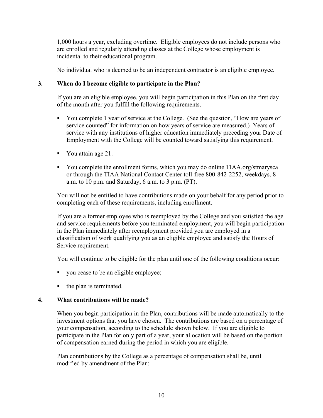1,000 hours a year, excluding overtime. Eligible employees do not include persons who are enrolled and regularly attending classes at the College whose employment is incidental to their educational program.

No individual who is deemed to be an independent contractor is an eligible employee.

#### **3. When do I become eligible to participate in the Plan?**

If you are an eligible employee, you will begin participation in this Plan on the first day of the month after you fulfill the following requirements.

- You complete 1 year of service at the College. (See the question, "How are years of service counted" for information on how years of service are measured.) Years of service with any institutions of higher education immediately preceding your Date of Employment with the College will be counted toward satisfying this requirement.
- Vou attain age 21.
- You complete the enrollment forms, which you may do online TIAA.org/stmarysca or through the TIAA National Contact Center toll-free 800-842-2252, weekdays, 8 a.m. to 10 p.m. and Saturday, 6 a.m. to 3 p.m. (PT).

You will not be entitled to have contributions made on your behalf for any period prior to completing each of these requirements, including enrollment.

If you are a former employee who is reemployed by the College and you satisfied the age and service requirements before you terminated employment, you will begin participation in the Plan immediately after reemployment provided you are employed in a classification of work qualifying you as an eligible employee and satisfy the Hours of Service requirement.

You will continue to be eligible for the plan until one of the following conditions occur:

- vou cease to be an eligible employee;
- the plan is terminated.

#### **4. What contributions will be made?**

When you begin participation in the Plan, contributions will be made automatically to the investment options that you have chosen. The contributions are based on a percentage of your compensation, according to the schedule shown below. If you are eligible to participate in the Plan for only part of a year, your allocation will be based on the portion of compensation earned during the period in which you are eligible.

Plan contributions by the College as a percentage of compensation shall be, until modified by amendment of the Plan: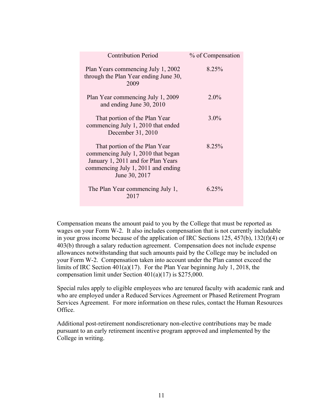| <b>Contribution Period</b>                                                                                                                                       | % of Compensation |
|------------------------------------------------------------------------------------------------------------------------------------------------------------------|-------------------|
| Plan Years commencing July 1, 2002<br>through the Plan Year ending June 30,<br>2009                                                                              | 8.25%             |
| Plan Year commencing July 1, 2009<br>and ending June 30, 2010                                                                                                    | $2.0\%$           |
| That portion of the Plan Year<br>commencing July 1, 2010 that ended<br>December 31, 2010                                                                         | $3.0\%$           |
| That portion of the Plan Year<br>commencing July 1, 2010 that began<br>January 1, 2011 and for Plan Years<br>commencing July 1, 2011 and ending<br>June 30, 2017 | 8.25%             |
| The Plan Year commencing July 1,<br>2017                                                                                                                         | 6.25%             |

Compensation means the amount paid to you by the College that must be reported as wages on your Form W-2. It also includes compensation that is not currently includable in your gross income because of the application of IRC Sections 125, 457(b), 132(f)(4) or 403(b) through a salary reduction agreement. Compensation does not include expense allowances notwithstanding that such amounts paid by the College may be included on your Form W-2. Compensation taken into account under the Plan cannot exceed the limits of IRC Section 401(a)(17). For the Plan Year beginning July 1, 2018, the compensation limit under Section 401(a)(17) is \$275,000.

Special rules apply to eligible employees who are tenured faculty with academic rank and who are employed under a Reduced Services Agreement or Phased Retirement Program Services Agreement. For more information on these rules, contact the Human Resources Office.

Additional post-retirement nondiscretionary non-elective contributions may be made pursuant to an early retirement incentive program approved and implemented by the College in writing.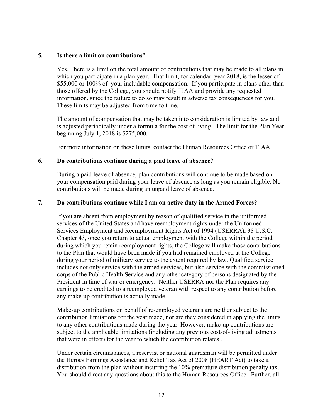#### **5. Is there a limit on contributions?**

Yes. There is a limit on the total amount of contributions that may be made to all plans in which you participate in a plan year. That limit, for calendar year 2018, is the lesser of \$55,000 or 100% of your includable compensation. If you participate in plans other than those offered by the College, you should notify TIAA and provide any requested information, since the failure to do so may result in adverse tax consequences for you. These limits may be adjusted from time to time.

The amount of compensation that may be taken into consideration is limited by law and is adjusted periodically under a formula for the cost of living. The limit for the Plan Year beginning July 1, 2018 is \$275,000.

For more information on these limits, contact the Human Resources Office or TIAA.

#### **6. Do contributions continue during a paid leave of absence?**

During a paid leave of absence, plan contributions will continue to be made based on your compensation paid during your leave of absence as long as you remain eligible. No contributions will be made during an unpaid leave of absence.

#### **7. Do contributions continue while I am on active duty in the Armed Forces?**

If you are absent from employment by reason of qualified service in the uniformed services of the United States and have reemployment rights under the Uniformed Services Employment and Reemployment Rights Act of 1994 (USERRA), 38 U.S.C. Chapter 43, once you return to actual employment with the College within the period during which you retain reemployment rights, the College will make those contributions to the Plan that would have been made if you had remained employed at the College during your period of military service to the extent required by law. Qualified service includes not only service with the armed services, but also service with the commissioned corps of the Public Health Service and any other category of persons designated by the President in time of war or emergency. Neither USERRA nor the Plan requires any earnings to be credited to a reemployed veteran with respect to any contribution before any make-up contribution is actually made.

Make-up contributions on behalf of re-employed veterans are neither subject to the contribution limitations for the year made, nor are they considered in applying the limits to any other contributions made during the year. However, make-up contributions are subject to the applicable limitations (including any previous cost-of-living adjustments that were in effect) for the year to which the contribution relates..

Under certain circumstances, a reservist or national guardsman will be permitted under the Heroes Earnings Assistance and Relief Tax Act of 2008 (HEART Act) to take a distribution from the plan without incurring the 10% premature distribution penalty tax. You should direct any questions about this to the Human Resources Office. Further, all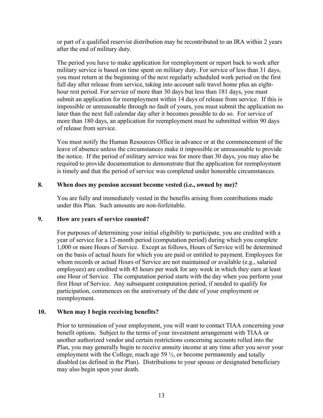or part of a qualified reservist distribution may be recontributed to an IRA within 2 years after the end of military duty.

The period you have to make application for reemployment or report back to work after military service is based on time spent on military duty. For service of less than 31 days, you must return at the beginning of the next regularly scheduled work period on the first full day after release from service, taking into account safe travel home plus an eighthour rest period. For service of more than 30 days but less than 181 days, you must submit an application for reemployment within 14 days of release from service. If this is impossible or unreasonable through no fault of yours, you must submit the application no later than the next full calendar day after it becomes possible to do so. For service of more than 180 days, an application for reemployment must be submitted within 90 days of release from service.

You must notify the Human Resources Office in advance or at the commencement of the leave of absence unless the circumstances make it impossible or unreasonable to provide the notice. If the period of military service was for more than 30 days, you may also be required to provide documentation to demonstrate that the application for reemployment is timely and that the period of service was completed under honorable circumstances.

#### **8. When does my pension account become vested (i.e., owned by me)?**

You are fully and immediately vested in the benefits arising from contributions made under this Plan. Such amounts are non-forfeitable.

#### **9. How are years of service counted?**

For purposes of determining your initial eligibility to participate, you are credited with a year of service for a 12-month period (computation period) during which you complete 1,000 or more Hours of Service. Except as follows, Hours of Service will be determined on the basis of actual hours for which you are paid or entitled to payment. Employees for whom records or actual Hours of Service are not maintained or available (e.g., salaried employees) are credited with 45 hours per week for any week in which they earn at least one Hour of Service. The computation period starts with the day when you perform your first Hour of Service. Any subsequent computation period, if needed to qualify for participation, commences on the anniversary of the date of your employment or reemployment.

#### **10. When may I begin receiving benefits?**

Prior to termination of your employment, you will want to contact TIAA concerning your benefit options. Subject to the terms of your investment arrangement with TIAA or another authorized vendor and certain restrictions concerning accounts rolled into the Plan, you may generally begin to receive annuity income at any time after you sever your employment with the College, reach age 59  $\frac{1}{2}$ , or become permanently and totally disabled (as defined in the Plan). Distributions to your spouse or designated beneficiary may also begin upon your death.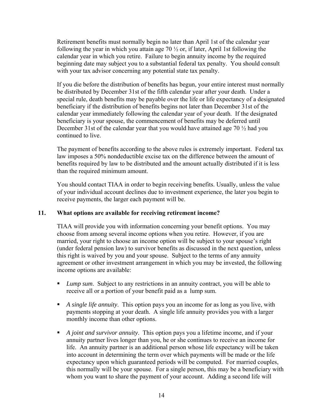Retirement benefits must normally begin no later than April 1st of the calendar year following the year in which you attain age 70  $\frac{1}{2}$  or, if later, April 1st following the calendar year in which you retire. Failure to begin annuity income by the required beginning date may subject you to a substantial federal tax penalty. You should consult with your tax advisor concerning any potential state tax penalty.

If you die before the distribution of benefits has begun, your entire interest must normally be distributed by December 31st of the fifth calendar year after your death. Under a special rule, death benefits may be payable over the life or life expectancy of a designated beneficiary if the distribution of benefits begins not later than December 31st of the calendar year immediately following the calendar year of your death. If the designated beneficiary is your spouse, the commencement of benefits may be deferred until December 31st of the calendar year that you would have attained age 70  $\frac{1}{2}$  had you continued to live.

The payment of benefits according to the above rules is extremely important. Federal tax law imposes a 50% nondeductible excise tax on the difference between the amount of benefits required by law to be distributed and the amount actually distributed if it is less than the required minimum amount.

You should contact TIAA in order to begin receiving benefits. Usually, unless the value of your individual account declines due to investment experience, the later you begin to receive payments, the larger each payment will be.

#### **11. What options are available for receiving retirement income?**

TIAA will provide you with information concerning your benefit options. You may choose from among several income options when you retire. However, if you are married, your right to choose an income option will be subject to your spouse's right (under federal pension law) to survivor benefits as discussed in the next question, unless this right is waived by you and your spouse. Subject to the terms of any annuity agreement or other investment arrangement in which you may be invested, the following income options are available:

- *Lump sum*. Subject to any restrictions in an annuity contract, you will be able to receive all or a portion of your benefit paid as a lump sum.
- *A single life annuity*. This option pays you an income for as long as you live, with payments stopping at your death. A single life annuity provides you with a larger monthly income than other options.
- *A joint and survivor annuity*. This option pays you a lifetime income, and if your annuity partner lives longer than you, he or she continues to receive an income for life. An annuity partner is an additional person whose life expectancy will be taken into account in determining the term over which payments will be made or the life expectancy upon which guaranteed periods will be computed. For married couples, this normally will be your spouse. For a single person, this may be a beneficiary with whom you want to share the payment of your account. Adding a second life will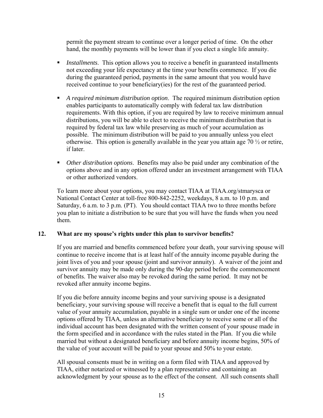permit the payment stream to continue over a longer period of time. On the other hand, the monthly payments will be lower than if you elect a single life annuity.

- **I** Installments. This option allows you to receive a benefit in guaranteed installments not exceeding your life expectancy at the time your benefits commence. If you die during the guaranteed period, payments in the same amount that you would have received continue to your beneficiary(ies) for the rest of the guaranteed period.
- *A required minimum distribution option*. The required minimum distribution option enables participants to automatically comply with federal tax law distribution requirements. With this option, if you are required by law to receive minimum annual distributions, you will be able to elect to receive the minimum distribution that is required by federal tax law while preserving as much of your accumulation as possible. The minimum distribution will be paid to you annually unless you elect otherwise. This option is generally available in the year you attain age  $70\frac{1}{2}$  or retire, if later.
- *Other distribution options*. Benefits may also be paid under any combination of the options above and in any option offered under an investment arrangement with TIAA or other authorized vendors.

To learn more about your options, you may contact TIAA at TIAA.org/stmarysca or National Contact Center at toll-free 800-842-2252, weekdays, 8 a.m. to 10 p.m. and Saturday, 6 a.m. to 3 p.m. (PT). You should contact TIAA two to three months before you plan to initiate a distribution to be sure that you will have the funds when you need them.

#### **12. What are my spouse's rights under this plan to survivor benefits?**

If you are married and benefits commenced before your death, your surviving spouse will continue to receive income that is at least half of the annuity income payable during the joint lives of you and your spouse (joint and survivor annuity). A waiver of the joint and survivor annuity may be made only during the 90-day period before the commencement of benefits. The waiver also may be revoked during the same period. It may not be revoked after annuity income begins.

If you die before annuity income begins and your surviving spouse is a designated beneficiary, your surviving spouse will receive a benefit that is equal to the full current value of your annuity accumulation, payable in a single sum or under one of the income options offered by TIAA, unless an alternative beneficiary to receive some or all of the individual account has been designated with the written consent of your spouse made in the form specified and in accordance with the rules stated in the Plan. If you die while married but without a designated beneficiary and before annuity income begins, 50% of the value of your account will be paid to your spouse and 50% to your estate.

All spousal consents must be in writing on a form filed with TIAA and approved by TIAA, either notarized or witnessed by a plan representative and containing an acknowledgment by your spouse as to the effect of the consent. All such consents shall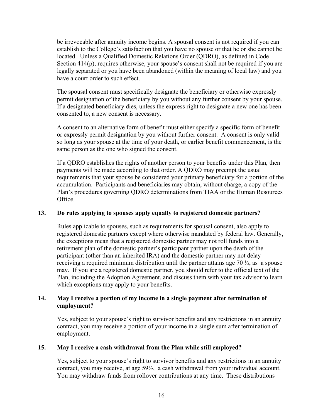be irrevocable after annuity income begins. A spousal consent is not required if you can establish to the College's satisfaction that you have no spouse or that he or she cannot be located. Unless a Qualified Domestic Relations Order (QDRO), as defined in Code Section 414(p), requires otherwise, your spouse's consent shall not be required if you are legally separated or you have been abandoned (within the meaning of local law) and you have a court order to such effect.

The spousal consent must specifically designate the beneficiary or otherwise expressly permit designation of the beneficiary by you without any further consent by your spouse. If a designated beneficiary dies, unless the express right to designate a new one has been consented to, a new consent is necessary.

A consent to an alternative form of benefit must either specify a specific form of benefit or expressly permit designation by you without further consent. A consent is only valid so long as your spouse at the time of your death, or earlier benefit commencement, is the same person as the one who signed the consent.

If a QDRO establishes the rights of another person to your benefits under this Plan, then payments will be made according to that order. A QDRO may preempt the usual requirements that your spouse be considered your primary beneficiary for a portion of the accumulation. Participants and beneficiaries may obtain, without charge, a copy of the Plan's procedures governing QDRO determinations from TIAA or the Human Resources Office.

#### **13. Do rules applying to spouses apply equally to registered domestic partners?**

Rules applicable to spouses, such as requirements for spousal consent, also apply to registered domestic partners except where otherwise mandated by federal law. Generally, the exceptions mean that a registered domestic partner may not roll funds into a retirement plan of the domestic partner's participant partner upon the death of the participant (other than an inherited IRA) and the domestic partner may not delay receiving a required minimum distribution until the partner attains age 70  $\frac{1}{2}$ , as a spouse may. If you are a registered domestic partner, you should refer to the official text of the Plan, including the Adoption Agreement, and discuss them with your tax advisor to learn which exceptions may apply to your benefits.

#### **14. May I receive a portion of my income in a single payment after termination of employment?**

Yes, subject to your spouse's right to survivor benefits and any restrictions in an annuity contract, you may receive a portion of your income in a single sum after termination of employment.

#### **15. May I receive a cash withdrawal from the Plan while still employed?**

Yes, subject to your spouse's right to survivor benefits and any restrictions in an annuity contract, you may receive, at age 59½, a cash withdrawal from your individual account. You may withdraw funds from rollover contributions at any time. These distributions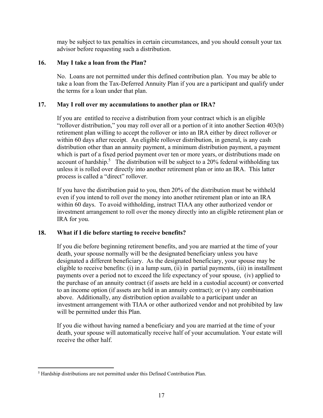may be subject to tax penalties in certain circumstances, and you should consult your tax advisor before requesting such a distribution.

#### **16. May I take a loan from the Plan?**

No. Loans are not permitted under this defined contribution plan. You may be able to take a loan from the Tax-Deferred Annuity Plan if you are a participant and qualify under the terms for a loan under that plan.

#### **17. May I roll over my accumulations to another plan or IRA?**

If you are entitled to receive a distribution from your contract which is an eligible "rollover distribution," you may roll over all or a portion of it into another Section 403(b) retirement plan willing to accept the rollover or into an IRA either by direct rollover or within 60 days after receipt. An eligible rollover distribution, in general, is any cash distribution other than an annuity payment, a minimum distribution payment, a payment which is part of a fixed period payment over ten or more years, or distributions made on account of hardship.<sup>5</sup> The distribution will be subject to a 20% federal withholding tax unless it is rolled over directly into another retirement plan or into an IRA. This latter process is called a "direct" rollover.

If you have the distribution paid to you, then 20% of the distribution must be withheld even if you intend to roll over the money into another retirement plan or into an IRA within 60 days. To avoid withholding, instruct TIAA any other authorized vendor or investment arrangement to roll over the money directly into an eligible retirement plan or IRA for you.

#### **18. What if I die before starting to receive benefits?**

If you die before beginning retirement benefits, and you are married at the time of your death, your spouse normally will be the designated beneficiary unless you have designated a different beneficiary. As the designated beneficiary, your spouse may be eligible to receive benefits: (i) in a lump sum, (ii) in partial payments, (iii) in installment payments over a period not to exceed the life expectancy of your spouse, (iv) applied to the purchase of an annuity contract (if assets are held in a custodial account) or converted to an income option (if assets are held in an annuity contract); or (v) any combination above. Additionally, any distribution option available to a participant under an investment arrangement with TIAA or other authorized vendor and not prohibited by law will be permitted under this Plan.

If you die without having named a beneficiary and you are married at the time of your death, your spouse will automatically receive half of your accumulation. Your estate will receive the other half.

 $\overline{a}$ <sup>5</sup> Hardship distributions are not permitted under this Defined Contribution Plan.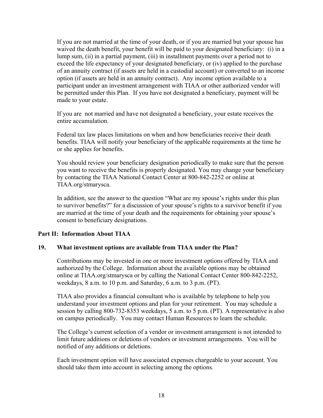If you are not married at the time of your death, or if you are married but your spouse has waived the death benefit, your benefit will be paid to your designated beneficiary: (i) in a lump sum, (ii) in a partial payment, (iii) in installment payments over a period not to exceed the life expectancy of your designated beneficiary, or (iv) applied to the purchase of an annuity contract (if assets are held in a custodial account) or converted to an income option (if assets are held in an annuity contract). Any income option available to a participant under an investment arrangement with TIAA or other authorized vendor will be permitted under this Plan. If you have not designated a beneficiary, payment will be made to your estate.

If you are not married and have not designated a beneficiary, your estate receives the entire accumulation.

Federal tax law places limitations on when and how beneficiaries receive their death benefits. TIAA will notify your beneficiary of the applicable requirements at the time he or she applies for benefits.

You should review your beneficiary designation periodically to make sure that the person you want to receive the benefits is properly designated. You may change your beneficiary by contacting the TIAA National Contact Center at 800-842-2252 or online at TIAA.org/stmarysca.

In addition, see the answer to the question "What are my spouse's rights under this plan to survivor benefits?" for a discussion of your spouse's rights to a survivor benefit if you are married at the time of your death and the requirements for obtaining your spouse's consent to beneficiary designations.

#### **Part II: Information About TIAA**

#### **19. What investment options are available from TIAA under the Plan?**

Contributions may be invested in one or more investment options offered by TIAA and authorized by the College. Information about the available options may be obtained online at TIAA.org/stmarysca or by calling the National Contact Center 800-842-2252, weekdays, 8 a.m. to 10 p.m. and Saturday, 6 a.m. to 3 p.m. (PT).

TIAA also provides a financial consultant who is available by telephone to help you understand your investment options and plan for your retirement. You may schedule a session by calling 800-732-8353 weekdays, 5 a.m. to 5 p.m. (PT). A representative is also on campus periodically. You may contact Human Resources to learn the schedule.

The College's current selection of a vendor or investment arrangement is not intended to limit future additions or deletions of vendors or investment arrangements. You will be notified of any additions or deletions.

Each investment option will have associated expenses chargeable to your account. You should take them into account in selecting among the options.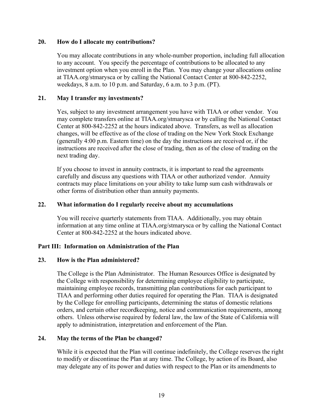#### **20. How do I allocate my contributions?**

You may allocate contributions in any whole-number proportion, including full allocation to any account. You specify the percentage of contributions to be allocated to any investment option when you enroll in the Plan. You may change your allocations online at TIAA.org/stmarysca or by calling the National Contact Center at 800-842-2252, weekdays, 8 a.m. to 10 p.m. and Saturday, 6 a.m. to 3 p.m. (PT).

#### **21. May I transfer my investments?**

Yes, subject to any investment arrangement you have with TIAA or other vendor. You may complete transfers online at TIAA.org/stmarysca or by calling the National Contact Center at 800-842-2252 at the hours indicated above. Transfers, as well as allocation changes, will be effective as of the close of trading on the New York Stock Exchange (generally 4:00 p.m. Eastern time) on the day the instructions are received or, if the instructions are received after the close of trading, then as of the close of trading on the next trading day.

If you choose to invest in annuity contracts, it is important to read the agreements carefully and discuss any questions with TIAA or other authorized vendor. Annuity contracts may place limitations on your ability to take lump sum cash withdrawals or other forms of distribution other than annuity payments.

#### **22. What information do I regularly receive about my accumulations**

You will receive quarterly statements from TIAA. Additionally, you may obtain information at any time online at TIAA.org/stmarysca or by calling the National Contact Center at 800-842-2252 at the hours indicated above.

#### **Part III: Information on Administration of the Plan**

#### **23. How is the Plan administered?**

The College is the Plan Administrator. The Human Resources Office is designated by the College with responsibility for determining employee eligibility to participate, maintaining employee records, transmitting plan contributions for each participant to TIAA and performing other duties required for operating the Plan. TIAA is designated by the College for enrolling participants, determining the status of domestic relations orders, and certain other recordkeeping, notice and communication requirements, among others. Unless otherwise required by federal law, the law of the State of California will apply to administration, interpretation and enforcement of the Plan.

#### **24. May the terms of the Plan be changed?**

While it is expected that the Plan will continue indefinitely, the College reserves the right to modify or discontinue the Plan at any time. The College, by action of its Board, also may delegate any of its power and duties with respect to the Plan or its amendments to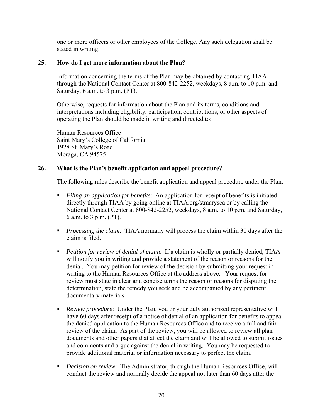one or more officers or other employees of the College. Any such delegation shall be stated in writing.

#### **25. How do I get more information about the Plan?**

Information concerning the terms of the Plan may be obtained by contacting TIAA through the National Contact Center at 800-842-2252, weekdays, 8 a.m. to 10 p.m. and Saturday, 6 a.m. to 3 p.m. (PT).

Otherwise, requests for information about the Plan and its terms, conditions and interpretations including eligibility, participation, contributions, or other aspects of operating the Plan should be made in writing and directed to:

Human Resources Office Saint Mary's College of California 1928 St. Mary's Road Moraga, CA 94575

#### **26. What is the Plan's benefit application and appeal procedure?**

The following rules describe the benefit application and appeal procedure under the Plan:

- *Filing an application for benefits*: An application for receipt of benefits is initiated directly through TIAA by going online at TIAA.org/stmarysca or by calling the National Contact Center at 800-842-2252, weekdays, 8 a.m. to 10 p.m. and Saturday, 6 a.m. to 3 p.m. (PT).
- *Processing the claim*: TIAA normally will process the claim within 30 days after the claim is filed.
- *Petition for review of denial of claim*: If a claim is wholly or partially denied, TIAA will notify you in writing and provide a statement of the reason or reasons for the denial. You may petition for review of the decision by submitting your request in writing to the Human Resources Office at the address above. Your request for review must state in clear and concise terms the reason or reasons for disputing the determination, state the remedy you seek and be accompanied by any pertinent documentary materials.
- *Review procedure*: Under the Plan, you or your duly authorized representative will have 60 days after receipt of a notice of denial of an application for benefits to appeal the denied application to the Human Resources Office and to receive a full and fair review of the claim. As part of the review, you will be allowed to review all plan documents and other papers that affect the claim and will be allowed to submit issues and comments and argue against the denial in writing. You may be requested to provide additional material or information necessary to perfect the claim.
- **•** *Decision on review*: The Administrator, through the Human Resources Office, will conduct the review and normally decide the appeal not later than 60 days after the